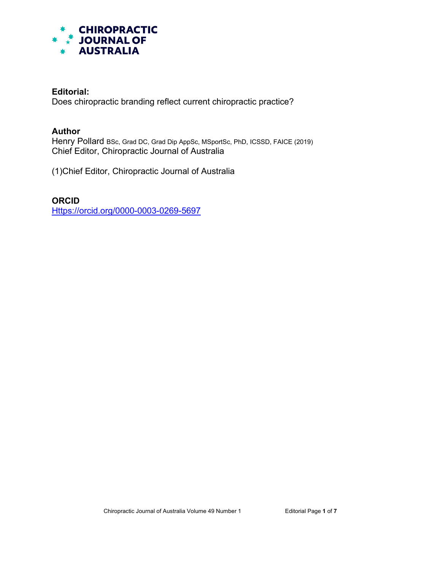

## **Editorial:**

Does chiropractic branding reflect current chiropractic practice?

## **Author**

Henry Pollard BSc, Grad DC, Grad Dip AppSc, MSportSc, PhD, ICSSD, FAICE (2019) Chief Editor, Chiropractic Journal of Australia

(1)Chief Editor, Chiropractic Journal of Australia

**ORCID** [Https://orcid.org/0000-0003-0269-5697](https://orcid.org/0000-0003-0269-5697)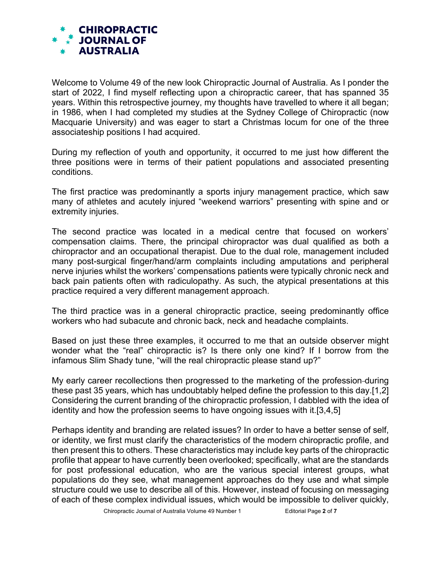

Welcome to Volume 49 of the new look Chiropractic Journal of Australia. As I ponder the start of 2022, I find myself reflecting upon a chiropractic career, that has spanned 35 years. Within this retrospective journey, my thoughts have travelled to where it all began; in 1986, when I had completed my studies at the Sydney College of Chiropractic (now Macquarie University) and was eager to start a Christmas locum for one of the three associateship positions I had acquired.

During my reflection of youth and opportunity, it occurred to me just how different the three positions were in terms of their patient populations and associated presenting conditions.

The first practice was predominantly a sports injury management practice, which saw many of athletes and acutely injured "weekend warriors" presenting with spine and or extremity injuries.

The second practice was located in a medical centre that focused on workers' compensation claims. There, the principal chiropractor was dual qualified as both a chiropractor and an occupational therapist. Due to the dual role, management included many post-surgical finger/hand/arm complaints including amputations and peripheral nerve injuries whilst the workers' compensations patients were typically chronic neck and back pain patients often with radiculopathy. As such, the atypical presentations at this practice required a very different management approach.

The third practice was in a general chiropractic practice, seeing predominantly office workers who had subacute and chronic back, neck and headache complaints.

Based on just these three examples, it occurred to me that an outside observer might wonder what the "real" chiropractic is? Is there only one kind? If I borrow from the infamous Slim Shady tune, "will the real chiropractic please stand up?"

My early career recollections then progressed to the marketing of the profession during these past 35 years, which has undoubtably helped define the profession to this day.[1,2] Considering the current branding of the chiropractic profession, I dabbled with the idea of identity and how the profession seems to have ongoing issues with it.[3,4,5]

Perhaps identity and branding are related issues? In order to have a better sense of self, or identity, we first must clarify the characteristics of the modern chiropractic profile, and then present this to others. These characteristics may include key parts of the chiropractic profile that appear to have currently been overlooked; specifically, what are the standards for post professional education, who are the various special interest groups, what populations do they see, what management approaches do they use and what simple structure could we use to describe all of this. However, instead of focusing on messaging of each of these complex individual issues, which would be impossible to deliver quickly,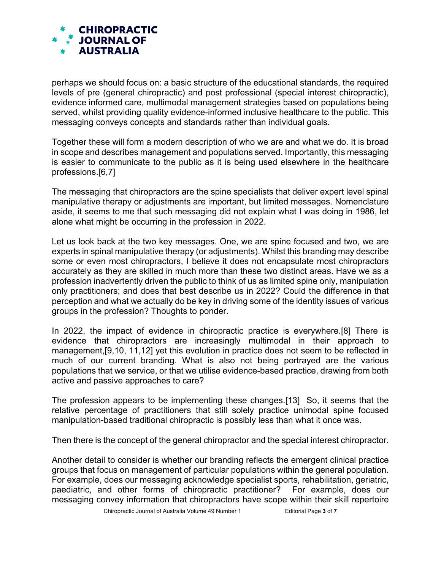

perhaps we should focus on: a basic structure of the educational standards, the required levels of pre (general chiropractic) and post professional (special interest chiropractic), evidence informed care, multimodal management strategies based on populations being served, whilst providing quality evidence-informed inclusive healthcare to the public. This messaging conveys concepts and standards rather than individual goals.

Together these will form a modern description of who we are and what we do. It is broad in scope and describes management and populations served. Importantly, this messaging is easier to communicate to the public as it is being used elsewhere in the healthcare professions.[6,7]

The messaging that chiropractors are the spine specialists that deliver expert level spinal manipulative therapy or adjustments are important, but limited messages. Nomenclature aside, it seems to me that such messaging did not explain what I was doing in 1986, let alone what might be occurring in the profession in 2022.

Let us look back at the two key messages. One, we are spine focused and two, we are experts in spinal manipulative therapy (or adjustments). Whilst this branding may describe some or even most chiropractors, I believe it does not encapsulate most chiropractors accurately as they are skilled in much more than these two distinct areas. Have we as a profession inadvertently driven the public to think of us as limited spine only, manipulation only practitioners; and does that best describe us in 2022? Could the difference in that perception and what we actually do be key in driving some of the identity issues of various groups in the profession? Thoughts to ponder.

In 2022, the impact of evidence in chiropractic practice is everywhere.[8] There is evidence that chiropractors are increasingly multimodal in their approach to management,[9,10, 11,12] yet this evolution in practice does not seem to be reflected in much of our current branding. What is also not being portrayed are the various populations that we service, or that we utilise evidence-based practice, drawing from both active and passive approaches to care?

The profession appears to be implementing these changes.[13] So, it seems that the relative percentage of practitioners that still solely practice unimodal spine focused manipulation-based traditional chiropractic is possibly less than what it once was.

Then there is the concept of the general chiropractor and the special interest chiropractor.

Another detail to consider is whether our branding reflects the emergent clinical practice groups that focus on management of particular populations within the general population. For example, does our messaging acknowledge specialist sports, rehabilitation, geriatric, paediatric, and other forms of chiropractic practitioner? For example, does our messaging convey information that chiropractors have scope within their skill repertoire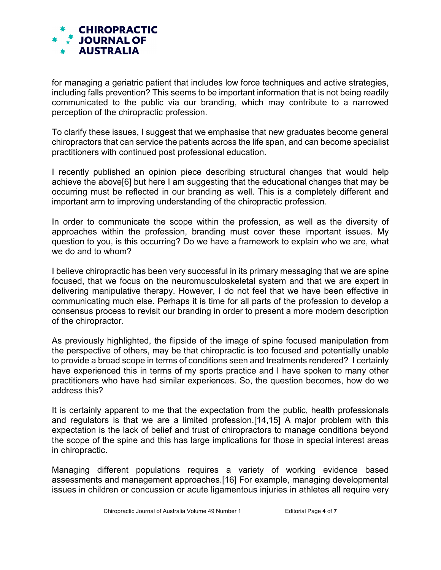

for managing a geriatric patient that includes low force techniques and active strategies, including falls prevention? This seems to be important information that is not being readily communicated to the public via our branding, which may contribute to a narrowed perception of the chiropractic profession.

To clarify these issues, I suggest that we emphasise that new graduates become general chiropractors that can service the patients across the life span, and can become specialist practitioners with continued post professional education.

I recently published an opinion piece describing structural changes that would help achieve the above[6] but here I am suggesting that the educational changes that may be occurring must be reflected in our branding as well. This is a completely different and important arm to improving understanding of the chiropractic profession.

In order to communicate the scope within the profession, as well as the diversity of approaches within the profession, branding must cover these important issues. My question to you, is this occurring? Do we have a framework to explain who we are, what we do and to whom?

I believe chiropractic has been very successful in its primary messaging that we are spine focused, that we focus on the neuromusculoskeletal system and that we are expert in delivering manipulative therapy. However, I do not feel that we have been effective in communicating much else. Perhaps it is time for all parts of the profession to develop a consensus process to revisit our branding in order to present a more modern description of the chiropractor.

As previously highlighted, the flipside of the image of spine focused manipulation from the perspective of others, may be that chiropractic is too focused and potentially unable to provide a broad scope in terms of conditions seen and treatments rendered? I certainly have experienced this in terms of my sports practice and I have spoken to many other practitioners who have had similar experiences. So, the question becomes, how do we address this?

It is certainly apparent to me that the expectation from the public, health professionals and regulators is that we are a limited profession.[14,15] A major problem with this expectation is the lack of belief and trust of chiropractors to manage conditions beyond the scope of the spine and this has large implications for those in special interest areas in chiropractic.

Managing different populations requires a variety of working evidence based assessments and management approaches.[16] For example, managing developmental issues in children or concussion or acute ligamentous injuries in athletes all require very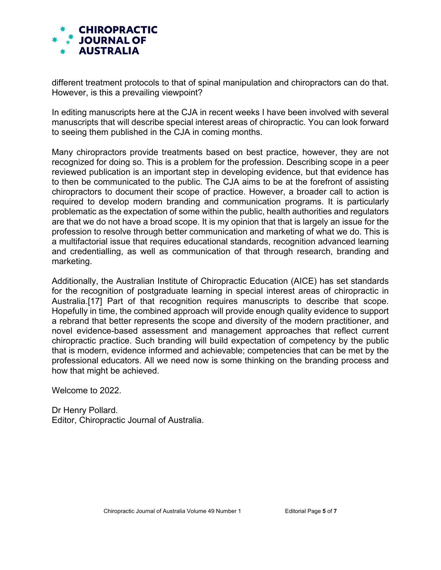

different treatment protocols to that of spinal manipulation and chiropractors can do that. However, is this a prevailing viewpoint?

In editing manuscripts here at the CJA in recent weeks I have been involved with several manuscripts that will describe special interest areas of chiropractic. You can look forward to seeing them published in the CJA in coming months.

Many chiropractors provide treatments based on best practice, however, they are not recognized for doing so. This is a problem for the profession. Describing scope in a peer reviewed publication is an important step in developing evidence, but that evidence has to then be communicated to the public. The CJA aims to be at the forefront of assisting chiropractors to document their scope of practice. However, a broader call to action is required to develop modern branding and communication programs. It is particularly problematic as the expectation of some within the public, health authorities and regulators are that we do not have a broad scope. It is my opinion that that is largely an issue for the profession to resolve through better communication and marketing of what we do. This is a multifactorial issue that requires educational standards, recognition advanced learning and credentialling, as well as communication of that through research, branding and marketing.

Additionally, the Australian Institute of Chiropractic Education (AICE) has set standards for the recognition of postgraduate learning in special interest areas of chiropractic in Australia.[17] Part of that recognition requires manuscripts to describe that scope. Hopefully in time, the combined approach will provide enough quality evidence to support a rebrand that better represents the scope and diversity of the modern practitioner, and novel evidence-based assessment and management approaches that reflect current chiropractic practice. Such branding will build expectation of competency by the public that is modern, evidence informed and achievable; competencies that can be met by the professional educators. All we need now is some thinking on the branding process and how that might be achieved.

Welcome to 2022.

Dr Henry Pollard. Editor, Chiropractic Journal of Australia.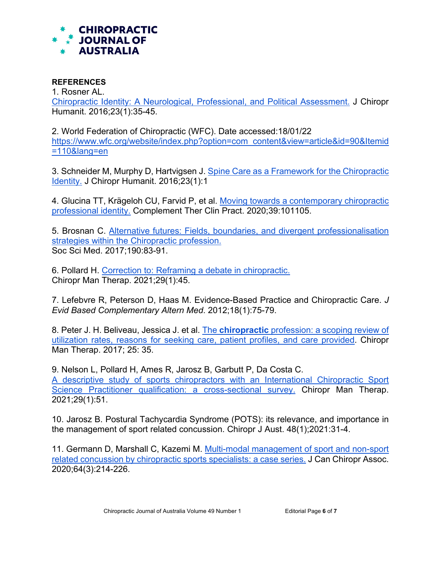

## **REFERENCES**

1. Rosner AL.

[Chiropractic Identity: A Neurological, Professional, and Political Assessment.](https://pubmed.ncbi.nlm.nih.gov/27920617/) J Chiropr Humanit. 2016;23(1):35-45.

2. World Federation of Chiropractic (WFC). Date accessed:18/01/22 [https://www.wfc.org/website/index.php?option=com\\_content&view=article&id=90&Itemid](https://www.wfc.org/website/index.php?option=com_content&view=article&id=90&Itemid=110&lang=en) [=110&lang=en](https://www.wfc.org/website/index.php?option=com_content&view=article&id=90&Itemid=110&lang=en)

3. Schneider M, Murphy D, Hartvigsen J. [Spine Care as a Framework for the Chiropractic](https://pubmed.ncbi.nlm.nih.gov/27920614/)  [Identity.](https://pubmed.ncbi.nlm.nih.gov/27920614/) J Chiropr Humanit. 2016;23(1):1

4. Glucina TT, Krägeloh CU, Farvid P, et al. [Moving towards a contemporary chiropractic](https://pubmed.ncbi.nlm.nih.gov/32379646/)  [professional identity.](https://pubmed.ncbi.nlm.nih.gov/32379646/) Complement Ther Clin Pract. 2020;39:101105.

5. Brosnan C. [Alternative futures: Fields, boundaries, and divergent professionalisation](https://pubmed.ncbi.nlm.nih.gov/28843874/)  [strategies within the Chiropractic profession.](https://pubmed.ncbi.nlm.nih.gov/28843874/) Soc Sci Med. 2017;190:83-91.

6. Pollard H. [Correction to: Reframing a debate in chiropractic.](https://pubmed.ncbi.nlm.nih.gov/34809659/) Chiropr Man Therap. 2021;29(1):45.

7. Lefebvre R, Peterson D, Haas M. Evidence-Based Practice and Chiropractic Care. *J Evid Based Complementary Altern Med*. 2012;18(1):75-79.

8. Peter J. H. Beliveau, Jessica J. et al. The **chiropractic** [profession: a scoping review of](https://www.ncbi.nlm.nih.gov/pmc/articles/PMC5698931/)  [utilization rates, reasons for seeking care, patient profiles, and care provided.](https://www.ncbi.nlm.nih.gov/pmc/articles/PMC5698931/) Chiropr Man Therap. 2017; 25: 35.

9. Nelson L, Pollard H, Ames R, Jarosz B, Garbutt P, Da Costa C. [A descriptive study of sports chiropractors with an International Chiropractic Sport](https://pubmed.ncbi.nlm.nih.gov/34903268/)  [Science Practitioner qualification: a cross-sectional survey.](https://pubmed.ncbi.nlm.nih.gov/34903268/) Chiropr Man Therap. 2021;29(1):51.

10. Jarosz B. Postural Tachycardia Syndrome (POTS): its relevance, and importance in the management of sport related concussion. Chiropr J Aust. 48(1);2021:31-4.

11. Germann D, Marshall C, Kazemi M. [Multi-modal management of sport and non-sport](https://pubmed.ncbi.nlm.nih.gov/33487643/)  [related concussion by chiropractic sports specialists: a case series.](https://pubmed.ncbi.nlm.nih.gov/33487643/) J Can Chiropr Assoc. 2020;64(3):214-226.